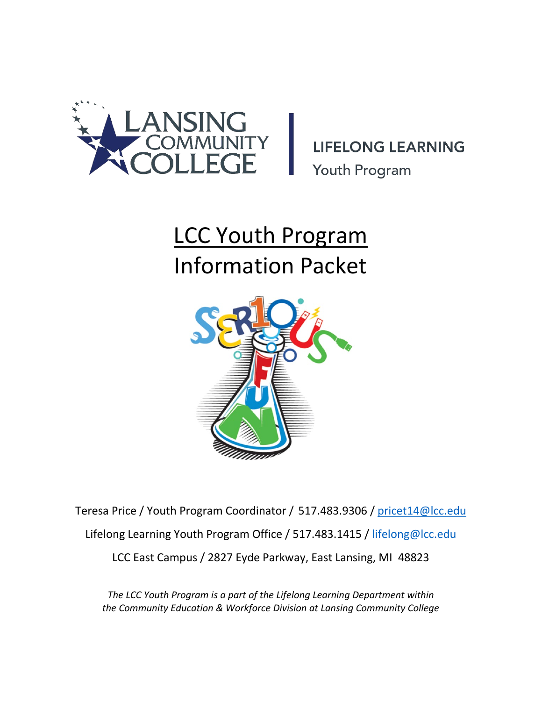

**LIFELONG LEARNING** Youth Program

# LCC Youth Program Information Packet



Teresa Price / Youth Program Coordinator / 517.483.9306 / [pricet14@lcc.edu](mailto:pricet14@lcc.edu) Lifelong Learning Youth Program Office / 517.483.1415 / [lifelong@lcc.edu](mailto:lifelong@lcc.edu) LCC East Campus / 2827 Eyde Parkway, East Lansing, MI 48823

*The LCC Youth Program is a part of the Lifelong Learning Department within the Community Education & Workforce Division at Lansing Community College*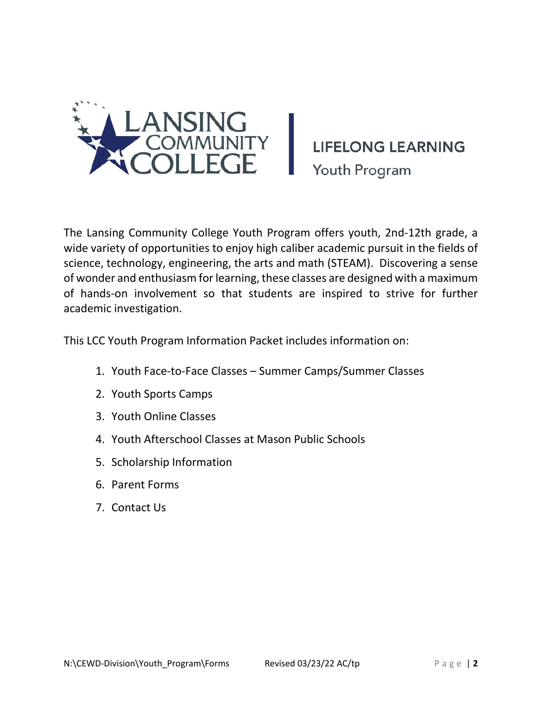

LIFELONG LEARNING Youth Program

The Lansing Community College Youth Program offers youth, 2nd-12th grade, a wide variety of opportunities to enjoy high caliber academic pursuit in the fields of science, technology, engineering, the arts and math (STEAM). Discovering a sense of wonder and enthusiasm for learning, these classes are designed with a maximum of hands-on involvement so that students are inspired to strive for further academic investigation.

This LCC Youth Program Information Packet includes information on:

- 1. Youth Face-to-Face Classes Summer Camps/Summer Classes
- 2. Youth Sports Camps
- 3. Youth Online Classes
- 4. Youth Afterschool Classes at Mason Public Schools
- 5. Scholarship Information
- 6. Parent Forms
- 7. Contact Us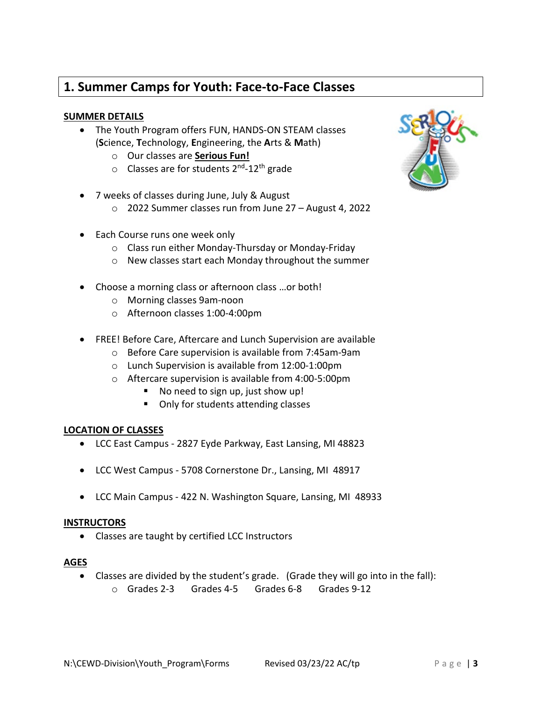### **1. Summer Camps for Youth: Face-to-Face Classes**

#### **SUMMER DETAILS**

- The Youth Program offers FUN, HANDS-ON STEAM classes (**S**cience, **T**echnology, **E**ngineering, the **A**rts & **M**ath)
	- o Our classes are **Serious Fun!**
	- $\circ$  Classes are for students 2<sup>nd</sup>-12<sup>th</sup> grade
- 7 weeks of classes during June, July & August
	- o 2022 Summer classes run from June 27 August 4, 2022
- Each Course runs one week only
	- o Class run either Monday-Thursday or Monday-Friday
	- o New classes start each Monday throughout the summer
- Choose a morning class or afternoon class …or both!
	- o Morning classes 9am-noon
	- o Afternoon classes 1:00-4:00pm
- FREE! Before Care, Aftercare and Lunch Supervision are available
	- o Before Care supervision is available from 7:45am-9am
	- o Lunch Supervision is available from 12:00-1:00pm
	- o Aftercare supervision is available from 4:00-5:00pm
		- No need to sign up, just show up!
		- Only for students attending classes

#### **LOCATION OF CLASSES**

- LCC East Campus 2827 Eyde Parkway, East Lansing, MI 48823
- LCC West Campus 5708 Cornerstone Dr., Lansing, MI 48917
- LCC Main Campus 422 N. Washington Square, Lansing, MI 48933

#### **INSTRUCTORS**

• Classes are taught by certified LCC Instructors

#### **AGES**

- Classes are divided by the student's grade. (Grade they will go into in the fall):
	- o Grades 2-3 Grades 4-5 Grades 6-8 Grades 9-12

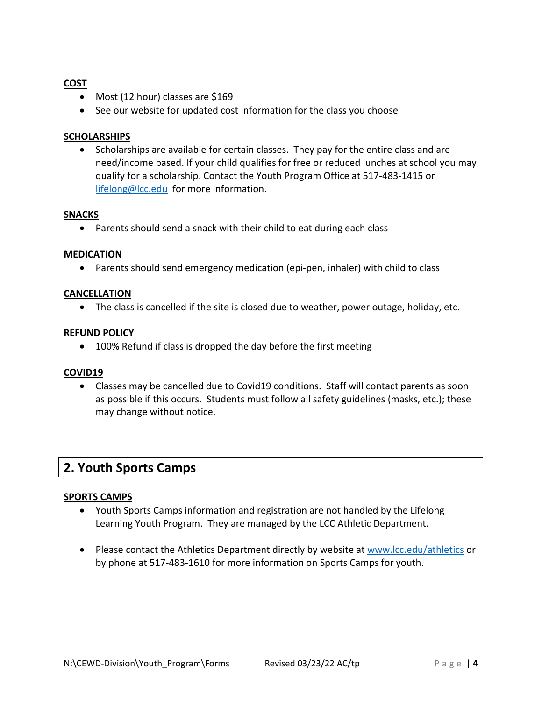#### **COST**

- Most (12 hour) classes are \$169
- See our website for updated cost information for the class you choose

#### **SCHOLARSHIPS**

• Scholarships are available for certain classes. They pay for the entire class and are need/income based. If your child qualifies for free or reduced lunches at school you may qualify for a scholarship. Contact the Youth Program Office at 517-483-1415 or [lifelong@lcc.edu](mailto:lifelong@lcc.edu) for more information.

#### **SNACKS**

• Parents should send a snack with their child to eat during each class

#### **MEDICATION**

• Parents should send emergency medication (epi-pen, inhaler) with child to class

#### **CANCELLATION**

• The class is cancelled if the site is closed due to weather, power outage, holiday, etc.

#### **REFUND POLICY**

• 100% Refund if class is dropped the day before the first meeting

#### **COVID19**

• Classes may be cancelled due to Covid19 conditions. Staff will contact parents as soon as possible if this occurs. Students must follow all safety guidelines (masks, etc.); these may change without notice.

### **2. Youth Sports Camps**

#### **SPORTS CAMPS**

- Youth Sports Camps information and registration are not handled by the Lifelong Learning Youth Program. They are managed by the LCC Athletic Department.
- Please contact the Athletics Department directly by website at [www.lcc.edu/athletics](http://www.lcc.edu/athletics) or by phone at 517-483-1610 for more information on Sports Camps for youth.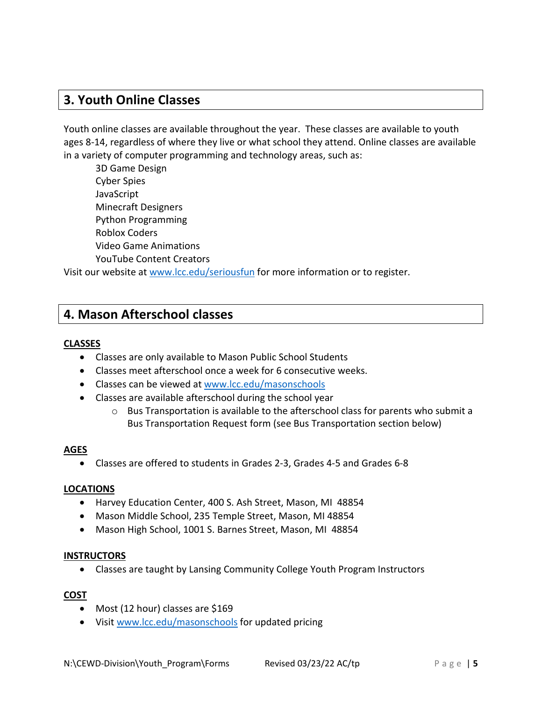## **3. Youth Online Classes**

Youth online classes are available throughout the year. These classes are available to youth ages 8-14, regardless of where they live or what school they attend. Online classes are available in a variety of computer programming and technology areas, such as:

3D Game Design Cyber Spies JavaScript Minecraft Designers Python Programming Roblox Coders Video Game Animations YouTube Content Creators

Visit our website at [www.lcc.edu/seriousfun](http://www.lcc.edu/seriousfun) for more information or to register.

### **4. Mason Afterschool classes**

#### **CLASSES**

- Classes are only available to Mason Public School Students
- Classes meet afterschool once a week for 6 consecutive weeks.
- Classes can be viewed a[t www.lcc.edu/masonschools](http://www.lcc.edu/masonschools)
- Classes are available afterschool during the school year
	- $\circ$  Bus Transportation is available to the afterschool class for parents who submit a Bus Transportation Request form (see Bus Transportation section below)

#### **AGES**

• Classes are offered to students in Grades 2-3, Grades 4-5 and Grades 6-8

#### **LOCATIONS**

- Harvey Education Center, 400 S. Ash Street, Mason, MI 48854
- Mason Middle School, 235 Temple Street, Mason, MI 48854
- Mason High School, 1001 S. Barnes Street, Mason, MI 48854

#### **INSTRUCTORS**

• Classes are taught by Lansing Community College Youth Program Instructors

#### **COST**

- Most (12 hour) classes are \$169
- Visit [www.lcc.edu/masonschools](http://www.lcc.edu/masonschools) for updated pricing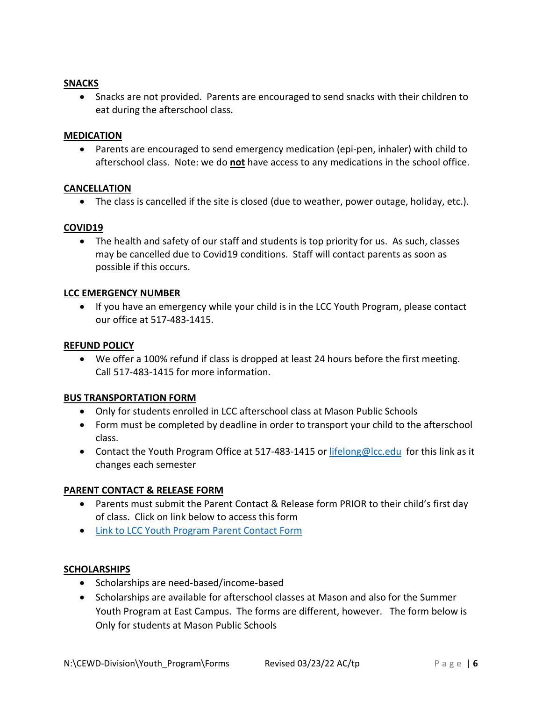#### **SNACKS**

• Snacks are not provided. Parents are encouraged to send snacks with their children to eat during the afterschool class.

#### **MEDICATION**

• Parents are encouraged to send emergency medication (epi-pen, inhaler) with child to afterschool class. Note: we do **not** have access to any medications in the school office.

#### **CANCELLATION**

• The class is cancelled if the site is closed (due to weather, power outage, holiday, etc.).

#### **COVID19**

• The health and safety of our staff and students is top priority for us. As such, classes may be cancelled due to Covid19 conditions. Staff will contact parents as soon as possible if this occurs.

#### **LCC EMERGENCY NUMBER**

• If you have an emergency while your child is in the LCC Youth Program, please contact our office at 517-483-1415.

#### **REFUND POLICY**

• We offer a 100% refund if class is dropped at least 24 hours before the first meeting. Call 517-483-1415 for more information.

#### **BUS TRANSPORTATION FORM**

- Only for students enrolled in LCC afterschool class at Mason Public Schools
- Form must be completed by deadline in order to transport your child to the afterschool class.
- Contact the Youth Program Office at 517-483-1415 or [lifelong@lcc.edu](mailto:lifelong@lcc.edu) for this link as it changes each semester

#### **PARENT CONTACT & RELEASE FORM**

- Parents must submit the Parent Contact & Release form PRIOR to their child's first day of class. Click on link below to access this form
- [Link to LCC Youth Program Parent Contact Form](https://dynamicforms.ngwebsolutions.com/Account/Login?ReturnUrl=%2FSubmit%2FStart%2F9bc00be2-c175-4df0-911a-9c65dab997f7%3FSSO%3DN)

#### **SCHOLARSHIPS**

- Scholarships are need-based/income-based
- Scholarships are available for afterschool classes at Mason and also for the Summer Youth Program at East Campus. The forms are different, however. The form below is Only for students at Mason Public Schools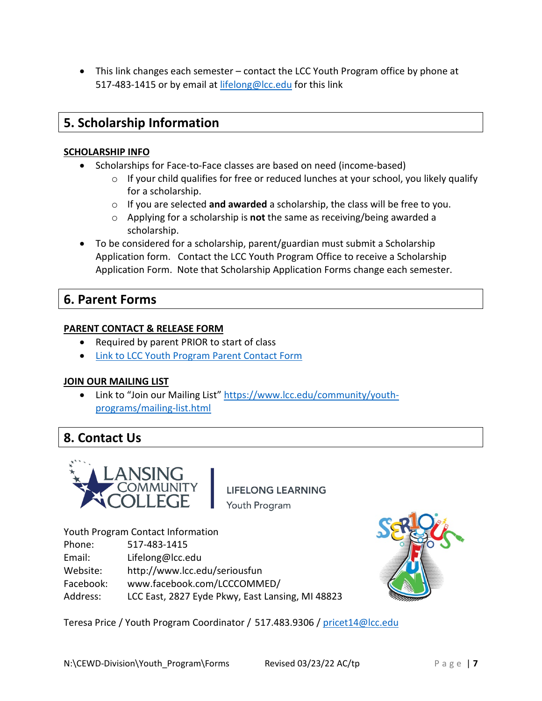• This link changes each semester – contact the LCC Youth Program office by phone at 517-483-1415 or by email at [lifelong@lcc.edu](mailto:lifelong@lcc.edu) for this link

# **5. Scholarship Information**

#### **SCHOLARSHIP INFO**

- Scholarships for Face-to-Face classes are based on need (income-based)
	- o If your child qualifies for free or reduced lunches at your school, you likely qualify for a scholarship.
	- o If you are selected **and awarded** a scholarship, the class will be free to you.
	- o Applying for a scholarship is **not** the same as receiving/being awarded a scholarship.
- To be considered for a scholarship, parent/guardian must submit a Scholarship Application form. Contact the LCC Youth Program Office to receive a Scholarship Application Form. Note that Scholarship Application Forms change each semester.

### **6. Parent Forms**

#### **PARENT CONTACT & RELEASE FORM**

- Required by parent PRIOR to start of class
- [Link to LCC Youth Program Parent Contact Form](https://dynamicforms.ngwebsolutions.com/Account/Login?ReturnUrl=%2FSubmit%2FStart%2F9bc00be2-c175-4df0-911a-9c65dab997f7%3FSSO%3DN)

### **JOIN OUR MAILING LIST**

• Link to "Join our Mailing List" [https://www.lcc.edu/community/youth](https://www.lcc.edu/community/youth-programs/mailing-list.html)[programs/mailing-list.html](https://www.lcc.edu/community/youth-programs/mailing-list.html) 

# **8. Contact Us**



**LIFELONG LEARNING** 

Youth Program

Youth Program Contact Information

| Phone:    | 517-483-1415                                     |
|-----------|--------------------------------------------------|
| Email:    | Lifelong@lcc.edu                                 |
| Website:  | http://www.lcc.edu/seriousfun                    |
| Facebook: | www.facebook.com/LCCCOMMED/                      |
| Address:  | LCC East, 2827 Eyde Pkwy, East Lansing, MI 48823 |
|           |                                                  |



Teresa Price / Youth Program Coordinator / 517.483.9306 / [pricet14@lcc.edu](mailto:pricet14@lcc.edu)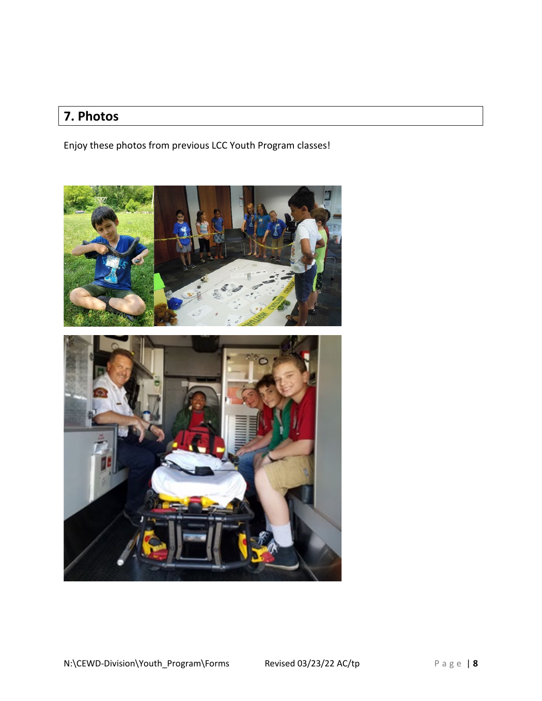# **7. Photos**

Enjoy these photos from previous LCC Youth Program classes!

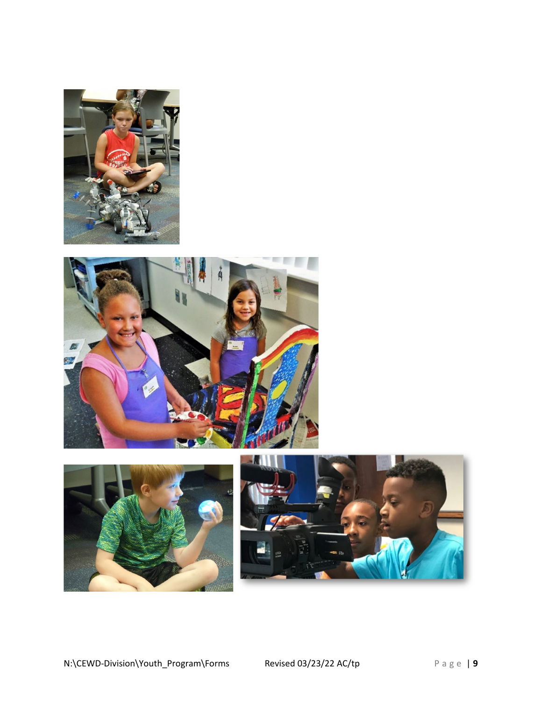





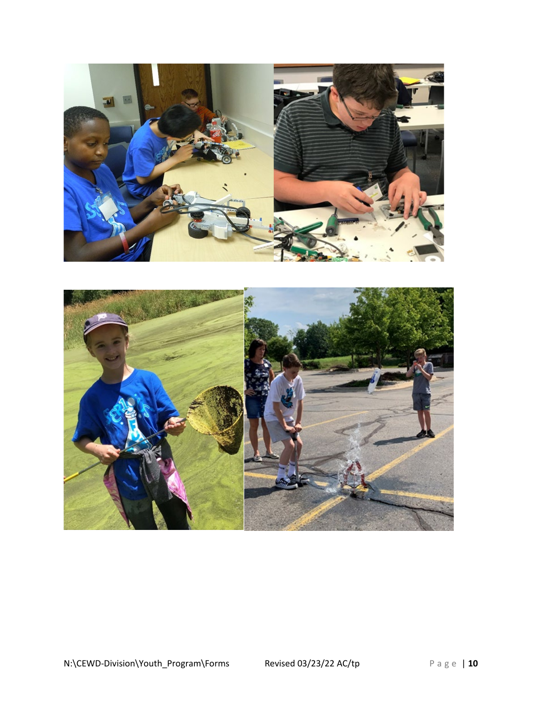